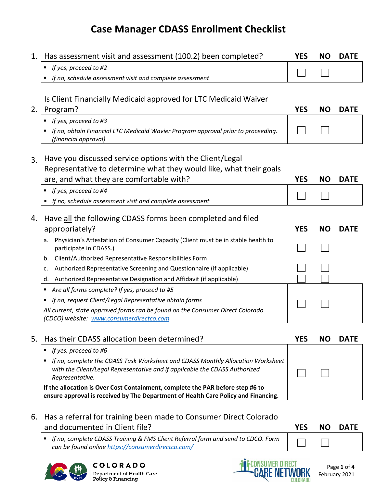# **Case Manager CDASS Enrollment Checklist**

| 1. | Has assessment visit and assessment (100.2) been completed?                                                                                                                            | <b>YES</b> | <b>NO</b> | <b>DATE</b> |
|----|----------------------------------------------------------------------------------------------------------------------------------------------------------------------------------------|------------|-----------|-------------|
|    | If yes, proceed to #2<br>٠                                                                                                                                                             |            |           |             |
|    | If no, schedule assessment visit and complete assessment                                                                                                                               |            |           |             |
|    |                                                                                                                                                                                        |            |           |             |
|    | Is Client Financially Medicaid approved for LTC Medicaid Waiver                                                                                                                        |            |           |             |
| 2. | Program?                                                                                                                                                                               | <b>YES</b> | <b>NO</b> | <b>DATE</b> |
|    | If yes, proceed to #3<br>٠                                                                                                                                                             |            |           |             |
|    | If no, obtain Financial LTC Medicaid Wavier Program approval prior to proceeding.<br>٠<br>(financial approval)                                                                         |            |           |             |
| 3. | Have you discussed service options with the Client/Legal                                                                                                                               |            |           |             |
|    | Representative to determine what they would like, what their goals                                                                                                                     |            |           |             |
|    | are, and what they are comfortable with?                                                                                                                                               | <b>YES</b> | <b>NO</b> | <b>DATE</b> |
|    | If yes, proceed to #4<br>٠                                                                                                                                                             |            |           |             |
|    | If no, schedule assessment visit and complete assessment<br>٠                                                                                                                          |            |           |             |
|    |                                                                                                                                                                                        |            |           |             |
| 4. | Have all the following CDASS forms been completed and filed                                                                                                                            |            |           |             |
|    | appropriately?                                                                                                                                                                         | <b>YES</b> | <b>NO</b> | <b>DATE</b> |
|    | Physician's Attestation of Consumer Capacity (Client must be in stable health to<br>а.<br>participate in CDASS.)                                                                       |            |           |             |
|    | Client/Authorized Representative Responsibilities Form<br>b.                                                                                                                           |            |           |             |
|    | Authorized Representative Screening and Questionnaire (if applicable)<br>c.                                                                                                            |            |           |             |
|    | Authorized Representative Designation and Affidavit (if applicable)<br>d.                                                                                                              |            |           |             |
|    | Are all forms complete? If yes, proceed to #5<br>٠                                                                                                                                     |            |           |             |
|    | If no, request Client/Legal Representative obtain forms<br>٠                                                                                                                           |            |           |             |
|    | All current, state approved forms can be found on the Consumer Direct Colorado                                                                                                         |            |           |             |
|    | (CDCO) website: www.consumerdirectco.com                                                                                                                                               |            |           |             |
| 5. | Has their CDASS allocation been determined?                                                                                                                                            | <b>YES</b> | NO.       | <b>DATE</b> |
|    | If yes, proceed to #6<br>٠                                                                                                                                                             |            |           |             |
|    | If no, complete the CDASS Task Worksheet and CDASS Monthly Allocation Worksheet<br>٠<br>with the Client/Legal Representative and if applicable the CDASS Authorized<br>Representative. |            |           |             |
|    | If the allocation is Over Cost Containment, complete the PAR before step #6 to<br>ensure approval is received by The Department of Health Care Policy and Financing.                   |            |           |             |
| 6. | Has a referral for training been made to Consumer Direct Colorado                                                                                                                      |            |           |             |

and documented in Client file? **YES NO DATE** ▪ *If no, complete CDASS Training & FMS Client Referral form and send to CDCO. Form* 

 $\mathcal{L}_{\mathcal{A}}$ 

*can be found online<https://consumerdirectco.com/>*





COLORADO Department of Health Care Policy & Financing

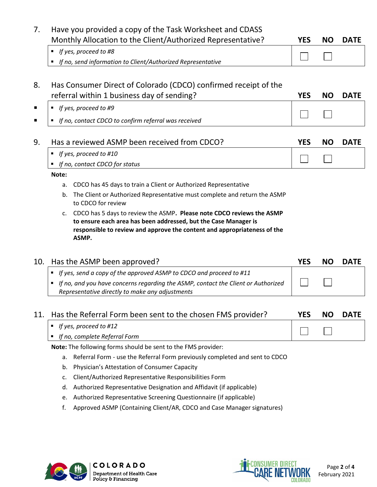| 7.  | Have you provided a copy of the Task Worksheet and CDASS<br>Monthly Allocation to the Client/Authorized Representative?                                                                                                          | <b>YES</b> | <b>NO</b> | <b>DATE</b> |
|-----|----------------------------------------------------------------------------------------------------------------------------------------------------------------------------------------------------------------------------------|------------|-----------|-------------|
|     | If yes, proceed to #8<br>٠                                                                                                                                                                                                       |            |           |             |
|     | If no, send information to Client/Authorized Representative<br>٠                                                                                                                                                                 |            |           |             |
|     |                                                                                                                                                                                                                                  |            |           |             |
| 8.  | Has Consumer Direct of Colorado (CDCO) confirmed receipt of the                                                                                                                                                                  |            |           |             |
|     | referral within 1 business day of sending?                                                                                                                                                                                       | <b>YES</b> | <b>NO</b> | <b>DATE</b> |
| ■   | ■ If yes, proceed to #9                                                                                                                                                                                                          |            |           |             |
|     | If no, contact CDCO to confirm referral was received<br>٠                                                                                                                                                                        |            |           |             |
|     |                                                                                                                                                                                                                                  |            |           |             |
| 9.  | Has a reviewed ASMP been received from CDCO?                                                                                                                                                                                     | <b>YES</b> | <b>NO</b> | <b>DATE</b> |
|     | If yes, proceed to #10                                                                                                                                                                                                           |            |           |             |
|     | If no, contact CDCO for status<br>٠                                                                                                                                                                                              |            |           |             |
|     | Note:                                                                                                                                                                                                                            |            |           |             |
|     | CDCO has 45 days to train a Client or Authorized Representative<br>a.                                                                                                                                                            |            |           |             |
|     | The Client or Authorized Representative must complete and return the ASMP<br>b.<br>to CDCO for review                                                                                                                            |            |           |             |
|     | c. CDCO has 5 days to review the ASMP. Please note CDCO reviews the ASMP<br>to ensure each area has been addressed, but the Case Manager is<br>responsible to review and approve the content and appropriateness of the<br>ASMP. |            |           |             |
| 10. | Has the ASMP been approved?                                                                                                                                                                                                      | <b>YES</b> | <b>NO</b> | <b>DATE</b> |

|                                                                                   | . | ----- |
|-----------------------------------------------------------------------------------|---|-------|
| $\vert$ = If yes, send a copy of the approved ASMP to CDCO and proceed to #11     |   |       |
| If no, and you have concerns regarding the ASMP, contact the Client or Authorized |   |       |
| Representative directly to make any adjustments                                   |   |       |

| 11. Has the Referral Form been sent to the chosen FMS provider? | <b>YES</b> | NO. | <b>DATE</b> |
|-----------------------------------------------------------------|------------|-----|-------------|
| $\vert$ = If yes, proceed to #12                                |            |     |             |
| $\blacksquare$ If no, complete Referral Form                    |            |     |             |
| Note: The following forms should be sent to the FMS provider:   |            |     |             |

a. Referral Form - use the Referral Form previously completed and sent to CDCO

b. Physician's Attestation of Consumer Capacity

c. Client/Authorized Representative Responsibilities Form

d. Authorized Representative Designation and Affidavit (if applicable)

e. Authorized Representative Screening Questionnaire (if applicable)

f. Approved ASMP (Containing Client/AR, CDCO and Case Manager signatures)



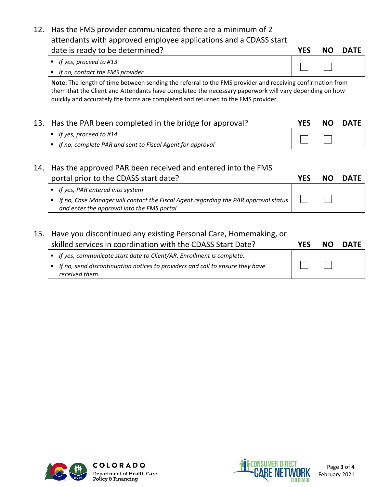| date is ready to be determined?                                  | <b>YES</b> | NO DATE |
|------------------------------------------------------------------|------------|---------|
| attendants with approved employee applications and a CDASS start |            |         |
| 12. Has the FMS provider communicated there are a minimum of 2   |            |         |

| $\vert$ = If yes, proceed to #13                    |  |
|-----------------------------------------------------|--|
| $\vert \cdot \vert$ If no, contact the FMS provider |  |

**Note:** The length of time between sending the referral to the FMS provider and receiving confirmation from them that the Client and Attendants have completed the necessary paperwork will vary depending on how quickly and accurately the forms are completed and returned to the FMS provider.

| 13. Has the PAR been completed in the bridge for approval?  | YES | NO. | <b>DATE</b> |
|-------------------------------------------------------------|-----|-----|-------------|
| $\parallel$ = If yes, proceed to #14                        |     |     |             |
| ■ If no, complete PAR and sent to Fiscal Agent for approval |     |     |             |

| 14. Has the approved PAR been received and entered into the FMS                                                                           |     |      |             |
|-------------------------------------------------------------------------------------------------------------------------------------------|-----|------|-------------|
| portal prior to the CDASS start date?                                                                                                     | YFS | NO L | <b>DATE</b> |
| • If yes, PAR entered into system                                                                                                         |     |      |             |
| If no, Case Manager will contact the Fiscal Agent regarding the PAR approval status $\vert$<br>and enter the approval into the FMS portal |     |      |             |
|                                                                                                                                           |     |      |             |

### 15. Have you discontinued any existing Personal Care, Homemaking, or skilled services in coordination with the CDASS Start Date? **YES NO DATE**

| • If yes, communicate start date to Client/AR. Enrollment is complete.                            |  |  |
|---------------------------------------------------------------------------------------------------|--|--|
| • If no, send discontinuation notices to providers and call to ensure they have<br>received them. |  |  |
|                                                                                                   |  |  |